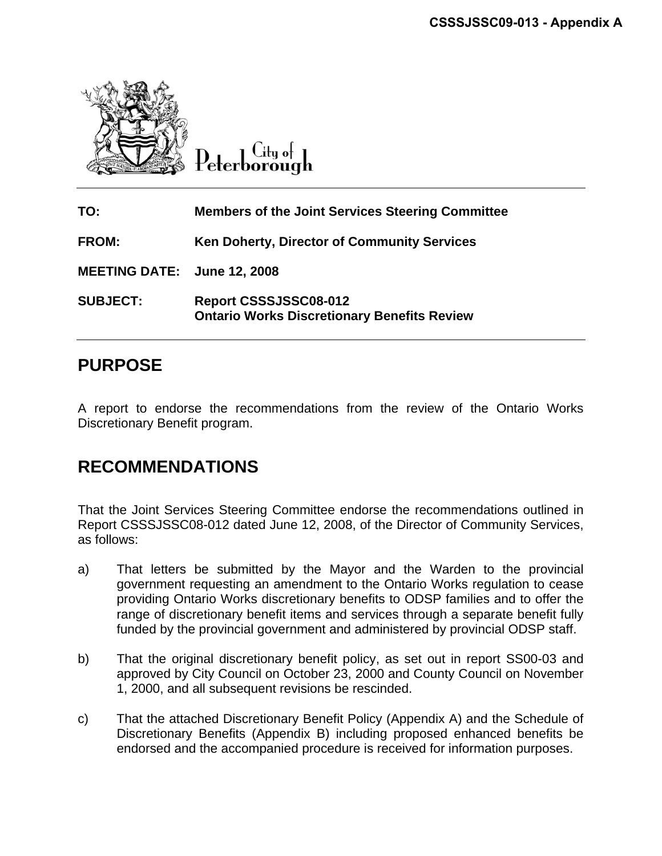

City of Peterborough

| TO:                         | <b>Members of the Joint Services Steering Committee</b>                     |
|-----------------------------|-----------------------------------------------------------------------------|
| <b>FROM:</b>                | <b>Ken Doherty, Director of Community Services</b>                          |
| MEETING DATE: June 12, 2008 |                                                                             |
| <b>SUBJECT:</b>             | Report CSSSJSSC08-012<br><b>Ontario Works Discretionary Benefits Review</b> |

# **PURPOSE**

A report to endorse the recommendations from the review of the Ontario Works Discretionary Benefit program.

# **RECOMMENDATIONS**

That the Joint Services Steering Committee endorse the recommendations outlined in Report CSSSJSSC08-012 dated June 12, 2008, of the Director of Community Services, as follows:

- a) That letters be submitted by the Mayor and the Warden to the provincial government requesting an amendment to the Ontario Works regulation to cease providing Ontario Works discretionary benefits to ODSP families and to offer the range of discretionary benefit items and services through a separate benefit fully funded by the provincial government and administered by provincial ODSP staff.
- b) That the original discretionary benefit policy, as set out in report SS00-03 and approved by City Council on October 23, 2000 and County Council on November 1, 2000, and all subsequent revisions be rescinded.
- c) That the attached Discretionary Benefit Policy (Appendix A) and the Schedule of Discretionary Benefits (Appendix B) including proposed enhanced benefits be endorsed and the accompanied procedure is received for information purposes.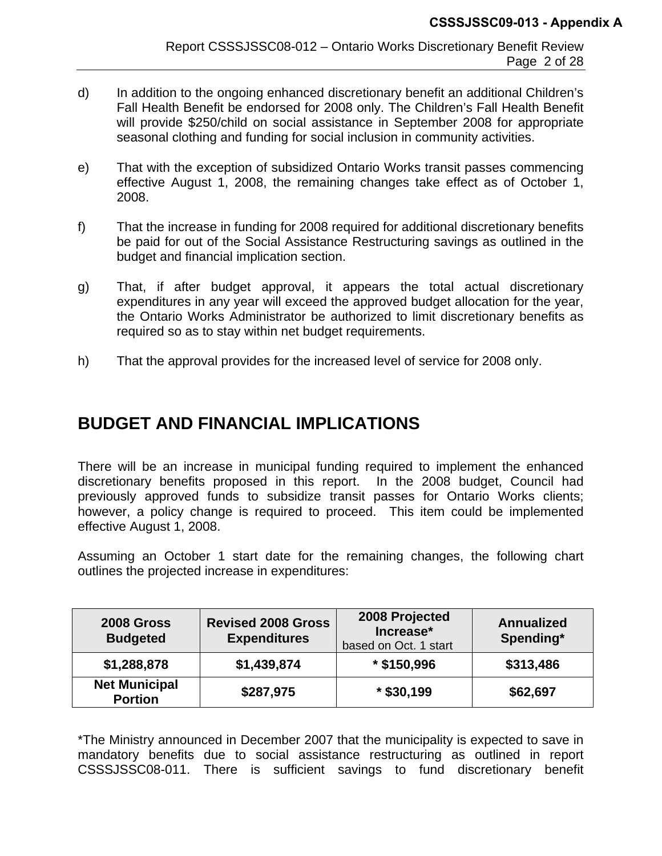- d) In addition to the ongoing enhanced discretionary benefit an additional Children's Fall Health Benefit be endorsed for 2008 only. The Children's Fall Health Benefit will provide \$250/child on social assistance in September 2008 for appropriate seasonal clothing and funding for social inclusion in community activities.
- e) That with the exception of subsidized Ontario Works transit passes commencing effective August 1, 2008, the remaining changes take effect as of October 1, 2008.
- f) That the increase in funding for 2008 required for additional discretionary benefits be paid for out of the Social Assistance Restructuring savings as outlined in the budget and financial implication section.
- g) That, if after budget approval, it appears the total actual discretionary expenditures in any year will exceed the approved budget allocation for the year, the Ontario Works Administrator be authorized to limit discretionary benefits as required so as to stay within net budget requirements.
- h) That the approval provides for the increased level of service for 2008 only.

# **BUDGET AND FINANCIAL IMPLICATIONS**

There will be an increase in municipal funding required to implement the enhanced discretionary benefits proposed in this report. In the 2008 budget, Council had previously approved funds to subsidize transit passes for Ontario Works clients; however, a policy change is required to proceed. This item could be implemented effective August 1, 2008.

Assuming an October 1 start date for the remaining changes, the following chart outlines the projected increase in expenditures:

| 2008 Gross<br><b>Budgeted</b>          | <b>Revised 2008 Gross</b><br><b>Expenditures</b> | 2008 Projected<br>Increase*<br>based on Oct. 1 start | <b>Annualized</b><br>Spending* |  |  |
|----------------------------------------|--------------------------------------------------|------------------------------------------------------|--------------------------------|--|--|
| \$1,288,878                            | \$1,439,874                                      | $*$ \$150,996                                        | \$313,486                      |  |  |
| <b>Net Municipal</b><br><b>Portion</b> | \$287,975                                        | $*$ \$30,199                                         | \$62,697                       |  |  |

\*The Ministry announced in December 2007 that the municipality is expected to save in mandatory benefits due to social assistance restructuring as outlined in report CSSSJSSC08-011. There is sufficient savings to fund discretionary benefit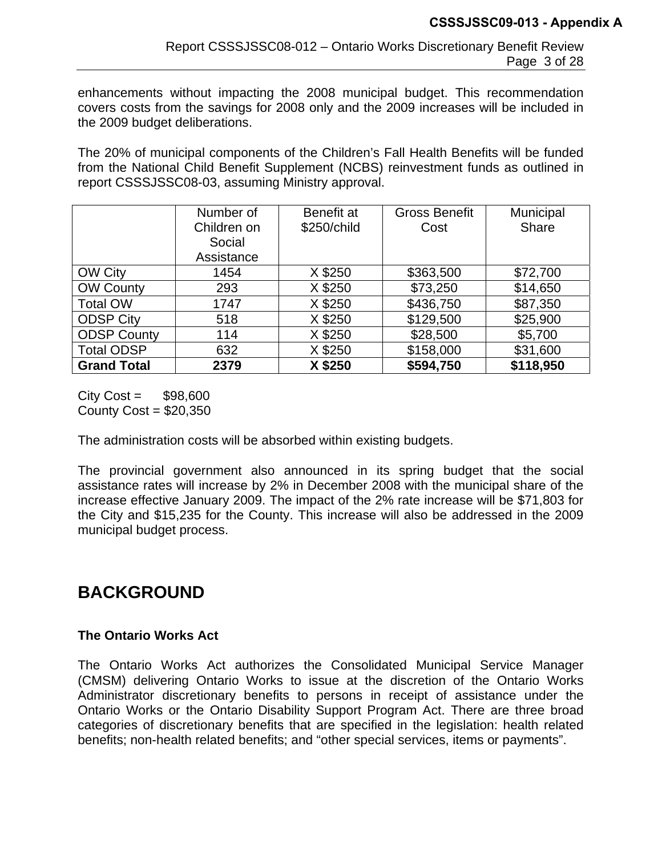enhancements without impacting the 2008 municipal budget. This recommendation covers costs from the savings for 2008 only and the 2009 increases will be included in the 2009 budget deliberations.

The 20% of municipal components of the Children's Fall Health Benefits will be funded from the National Child Benefit Supplement (NCBS) reinvestment funds as outlined in report CSSSJSSC08-03, assuming Ministry approval.

|                    | Number of<br>Children on<br>Social | Benefit at<br>\$250/child | <b>Gross Benefit</b><br>Cost | Municipal<br><b>Share</b> |
|--------------------|------------------------------------|---------------------------|------------------------------|---------------------------|
|                    | Assistance                         |                           |                              |                           |
| <b>OW City</b>     | 1454                               | X \$250                   | \$363,500                    | \$72,700                  |
| <b>OW County</b>   | 293                                | X \$250                   | \$73,250                     | \$14,650                  |
| <b>Total OW</b>    | 1747                               | X \$250                   | \$436,750                    | \$87,350                  |
| <b>ODSP City</b>   | 518                                | X \$250                   | \$129,500                    | \$25,900                  |
| <b>ODSP County</b> | 114                                | X \$250                   | \$28,500                     | \$5,700                   |
| <b>Total ODSP</b>  | 632                                | X \$250                   | \$158,000                    | \$31,600                  |
| <b>Grand Total</b> | 2379                               | X \$250                   | \$594,750                    | \$118,950                 |

 $City Cost =$  \$98,600 County  $Cost = $20,350$ 

The administration costs will be absorbed within existing budgets.

The provincial government also announced in its spring budget that the social assistance rates will increase by 2% in December 2008 with the municipal share of the increase effective January 2009. The impact of the 2% rate increase will be \$71,803 for the City and \$15,235 for the County. This increase will also be addressed in the 2009 municipal budget process.

# **BACKGROUND**

### **The Ontario Works Act**

The Ontario Works Act authorizes the Consolidated Municipal Service Manager (CMSM) delivering Ontario Works to issue at the discretion of the Ontario Works Administrator discretionary benefits to persons in receipt of assistance under the Ontario Works or the Ontario Disability Support Program Act. There are three broad categories of discretionary benefits that are specified in the legislation: health related benefits; non-health related benefits; and "other special services, items or payments".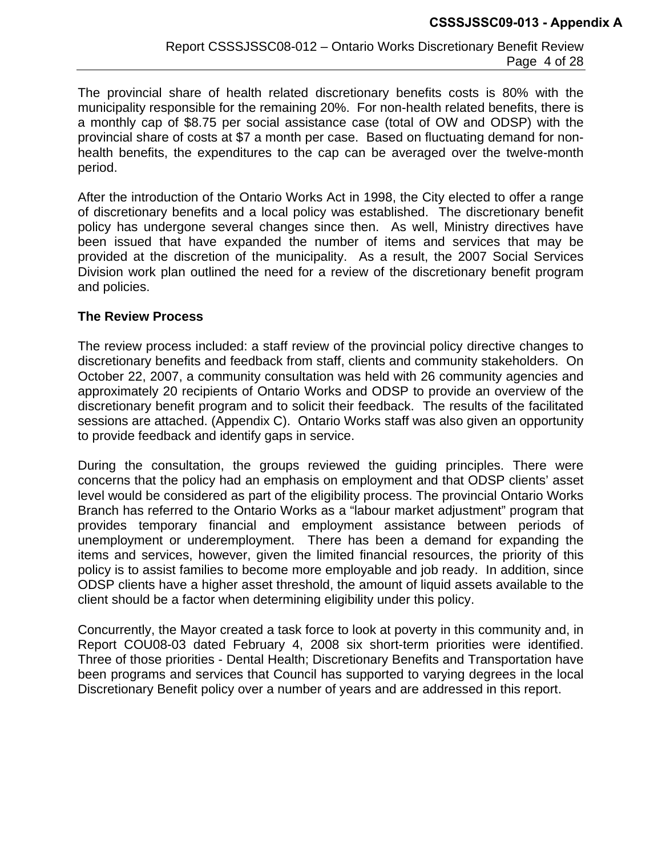The provincial share of health related discretionary benefits costs is 80% with the municipality responsible for the remaining 20%. For non-health related benefits, there is a monthly cap of \$8.75 per social assistance case (total of OW and ODSP) with the provincial share of costs at \$7 a month per case. Based on fluctuating demand for nonhealth benefits, the expenditures to the cap can be averaged over the twelve-month period.

After the introduction of the Ontario Works Act in 1998, the City elected to offer a range of discretionary benefits and a local policy was established. The discretionary benefit policy has undergone several changes since then. As well, Ministry directives have been issued that have expanded the number of items and services that may be provided at the discretion of the municipality. As a result, the 2007 Social Services Division work plan outlined the need for a review of the discretionary benefit program and policies.

#### **The Review Process**

The review process included: a staff review of the provincial policy directive changes to discretionary benefits and feedback from staff, clients and community stakeholders. On October 22, 2007, a community consultation was held with 26 community agencies and approximately 20 recipients of Ontario Works and ODSP to provide an overview of the discretionary benefit program and to solicit their feedback. The results of the facilitated sessions are attached. (Appendix C). Ontario Works staff was also given an opportunity to provide feedback and identify gaps in service.

During the consultation, the groups reviewed the guiding principles. There were concerns that the policy had an emphasis on employment and that ODSP clients' asset level would be considered as part of the eligibility process. The provincial Ontario Works Branch has referred to the Ontario Works as a "labour market adjustment" program that provides temporary financial and employment assistance between periods of unemployment or underemployment. There has been a demand for expanding the items and services, however, given the limited financial resources, the priority of this policy is to assist families to become more employable and job ready. In addition, since ODSP clients have a higher asset threshold, the amount of liquid assets available to the client should be a factor when determining eligibility under this policy.

Concurrently, the Mayor created a task force to look at poverty in this community and, in Report COU08-03 dated February 4, 2008 six short-term priorities were identified. Three of those priorities - Dental Health; Discretionary Benefits and Transportation have been programs and services that Council has supported to varying degrees in the local Discretionary Benefit policy over a number of years and are addressed in this report.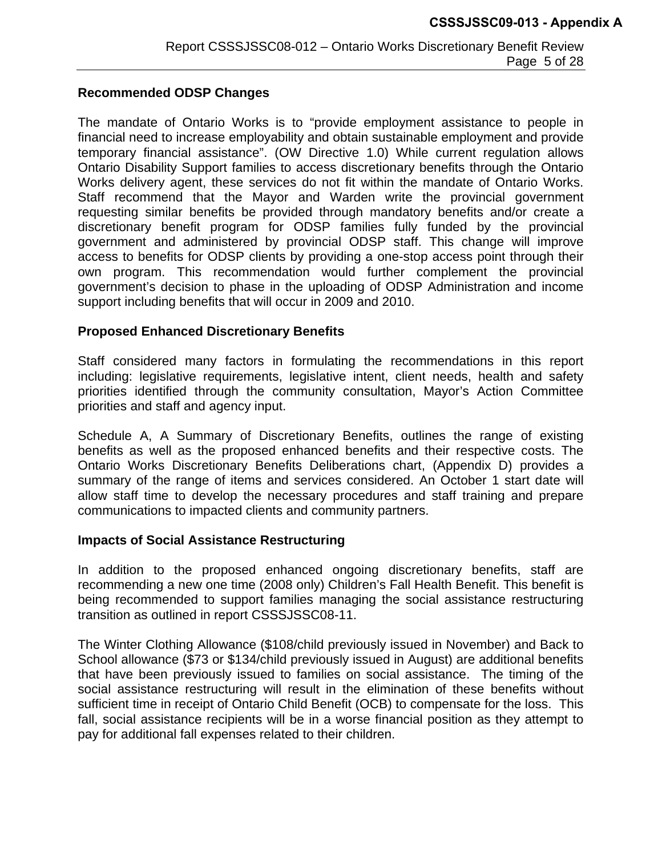#### **Recommended ODSP Changes**

The mandate of Ontario Works is to "provide employment assistance to people in financial need to increase employability and obtain sustainable employment and provide temporary financial assistance". (OW Directive 1.0) While current regulation allows Ontario Disability Support families to access discretionary benefits through the Ontario Works delivery agent, these services do not fit within the mandate of Ontario Works. Staff recommend that the Mayor and Warden write the provincial government requesting similar benefits be provided through mandatory benefits and/or create a discretionary benefit program for ODSP families fully funded by the provincial government and administered by provincial ODSP staff. This change will improve access to benefits for ODSP clients by providing a one-stop access point through their own program. This recommendation would further complement the provincial government's decision to phase in the uploading of ODSP Administration and income support including benefits that will occur in 2009 and 2010.

#### **Proposed Enhanced Discretionary Benefits**

Staff considered many factors in formulating the recommendations in this report including: legislative requirements, legislative intent, client needs, health and safety priorities identified through the community consultation, Mayor's Action Committee priorities and staff and agency input.

Schedule A, A Summary of Discretionary Benefits, outlines the range of existing benefits as well as the proposed enhanced benefits and their respective costs. The Ontario Works Discretionary Benefits Deliberations chart, (Appendix D) provides a summary of the range of items and services considered. An October 1 start date will allow staff time to develop the necessary procedures and staff training and prepare communications to impacted clients and community partners.

#### **Impacts of Social Assistance Restructuring**

In addition to the proposed enhanced ongoing discretionary benefits, staff are recommending a new one time (2008 only) Children's Fall Health Benefit. This benefit is being recommended to support families managing the social assistance restructuring transition as outlined in report CSSSJSSC08-11.

The Winter Clothing Allowance (\$108/child previously issued in November) and Back to School allowance (\$73 or \$134/child previously issued in August) are additional benefits that have been previously issued to families on social assistance. The timing of the social assistance restructuring will result in the elimination of these benefits without sufficient time in receipt of Ontario Child Benefit (OCB) to compensate for the loss. This fall, social assistance recipients will be in a worse financial position as they attempt to pay for additional fall expenses related to their children.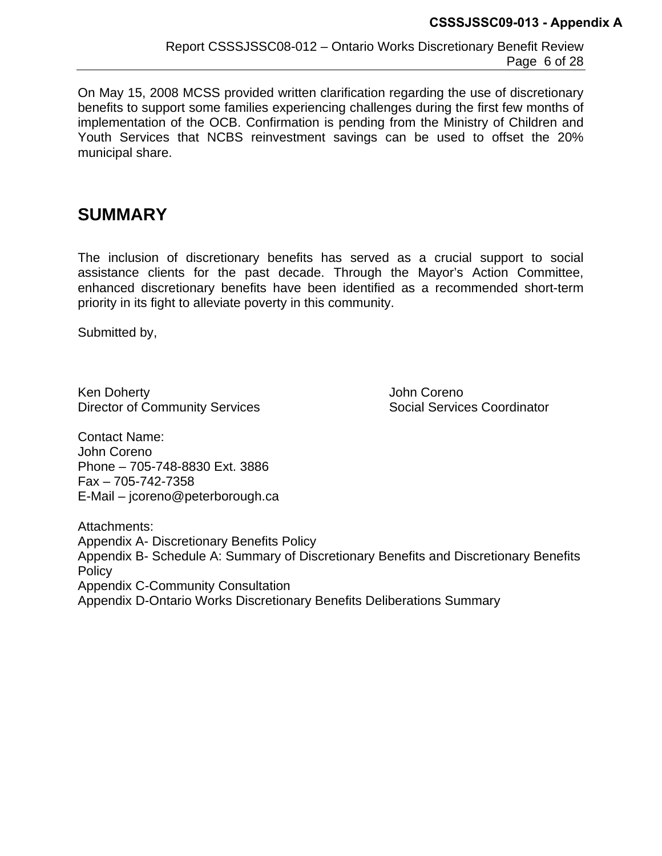On May 15, 2008 MCSS provided written clarification regarding the use of discretionary benefits to support some families experiencing challenges during the first few months of implementation of the OCB. Confirmation is pending from the Ministry of Children and Youth Services that NCBS reinvestment savings can be used to offset the 20% municipal share.

# **SUMMARY**

The inclusion of discretionary benefits has served as a crucial support to social assistance clients for the past decade. Through the Mayor's Action Committee, enhanced discretionary benefits have been identified as a recommended short-term priority in its fight to alleviate poverty in this community.

Submitted by,

Ken Doherty **Golffer Corenormer Community** John Coreno Director of Community Services **Social Services** Coordinator

Contact Name: John Coreno Phone – 705-748-8830 Ext. 3886 Fax – 705-742-7358 E-Mail – jcoreno@peterborough.ca

Attachments: Appendix A- Discretionary Benefits Policy Appendix B- Schedule A: Summary of Discretionary Benefits and Discretionary Benefits **Policy** Appendix C-Community Consultation Appendix D-Ontario Works Discretionary Benefits Deliberations Summary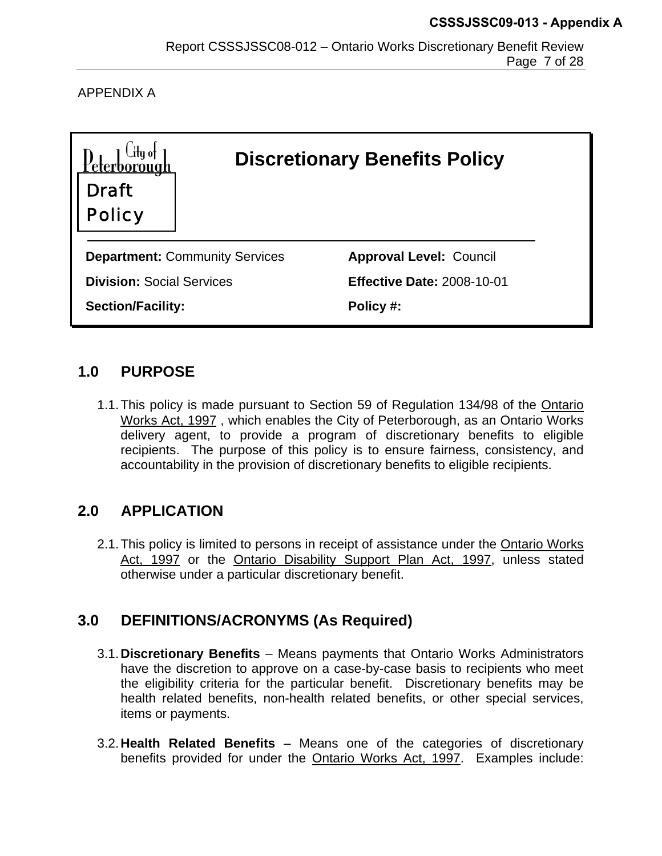APPENDIX A

| <b>Draft</b><br><b>Policy</b>    |                                       | <b>Discretionary Benefits Policy</b> |
|----------------------------------|---------------------------------------|--------------------------------------|
|                                  | <b>Department: Community Services</b> | <b>Approval Level: Council</b>       |
| <b>Division: Social Services</b> |                                       | <b>Effective Date: 2008-10-01</b>    |
| <b>Section/Facility:</b>         |                                       | Policy #:                            |

## **1.0 PURPOSE**

1.1. This policy is made pursuant to Section 59 of Regulation 134/98 of the Ontario Works Act, 1997 , which enables the City of Peterborough, as an Ontario Works delivery agent, to provide a program of discretionary benefits to eligible recipients. The purpose of this policy is to ensure fairness, consistency, and accountability in the provision of discretionary benefits to eligible recipients.

## **2.0 APPLICATION**

2.1. This policy is limited to persons in receipt of assistance under the Ontario Works Act, 1997 or the Ontario Disability Support Plan Act, 1997, unless stated otherwise under a particular discretionary benefit.

# **3.0 DEFINITIONS/ACRONYMS (As Required)**

- 3.1.**Discretionary Benefits** Means payments that Ontario Works Administrators have the discretion to approve on a case-by-case basis to recipients who meet the eligibility criteria for the particular benefit. Discretionary benefits may be health related benefits, non-health related benefits, or other special services, items or payments.
- 3.2.**Health Related Benefits**  Means one of the categories of discretionary benefits provided for under the Ontario Works Act, 1997. Examples include: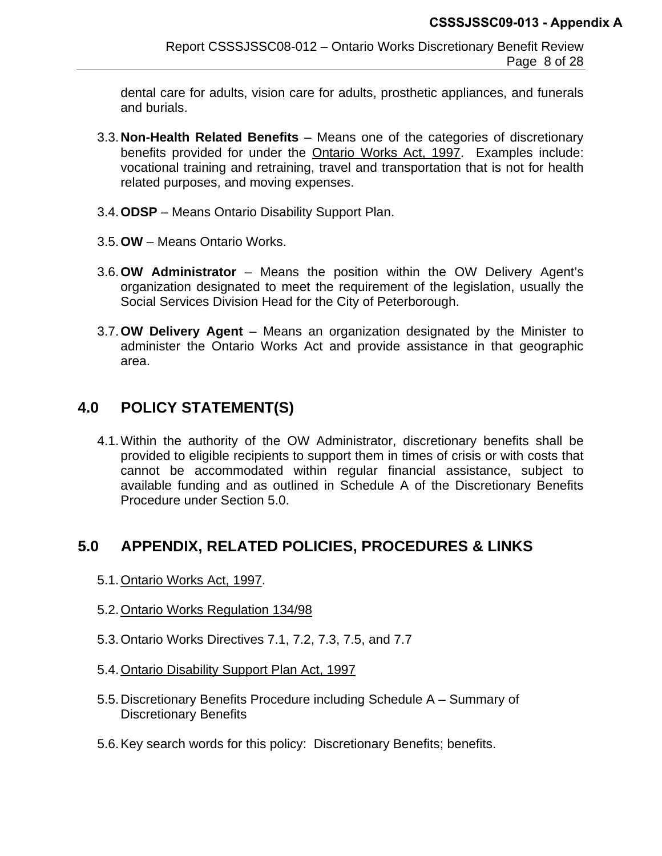dental care for adults, vision care for adults, prosthetic appliances, and funerals and burials.

- 3.3.**Non-Health Related Benefits** Means one of the categories of discretionary benefits provided for under the Ontario Works Act, 1997. Examples include: vocational training and retraining, travel and transportation that is not for health related purposes, and moving expenses.
- 3.4.**ODSP** Means Ontario Disability Support Plan.
- 3.5.**OW** Means Ontario Works.
- 3.6.**OW Administrator** Means the position within the OW Delivery Agent's organization designated to meet the requirement of the legislation, usually the Social Services Division Head for the City of Peterborough.
- 3.7.**OW Delivery Agent** Means an organization designated by the Minister to administer the Ontario Works Act and provide assistance in that geographic area.

# **4.0 POLICY STATEMENT(S)**

4.1. Within the authority of the OW Administrator, discretionary benefits shall be provided to eligible recipients to support them in times of crisis or with costs that cannot be accommodated within regular financial assistance, subject to available funding and as outlined in Schedule A of the Discretionary Benefits Procedure under Section 5.0.

# **5.0 APPENDIX, RELATED POLICIES, PROCEDURES & LINKS**

- 5.1.Ontario Works Act, 1997.
- 5.2.Ontario Works Regulation 134/98
- 5.3. Ontario Works Directives 7.1, 7.2, 7.3, 7.5, and 7.7
- 5.4.Ontario Disability Support Plan Act, 1997
- 5.5. Discretionary Benefits Procedure including Schedule A Summary of Discretionary Benefits
- 5.6. Key search words for this policy: Discretionary Benefits; benefits.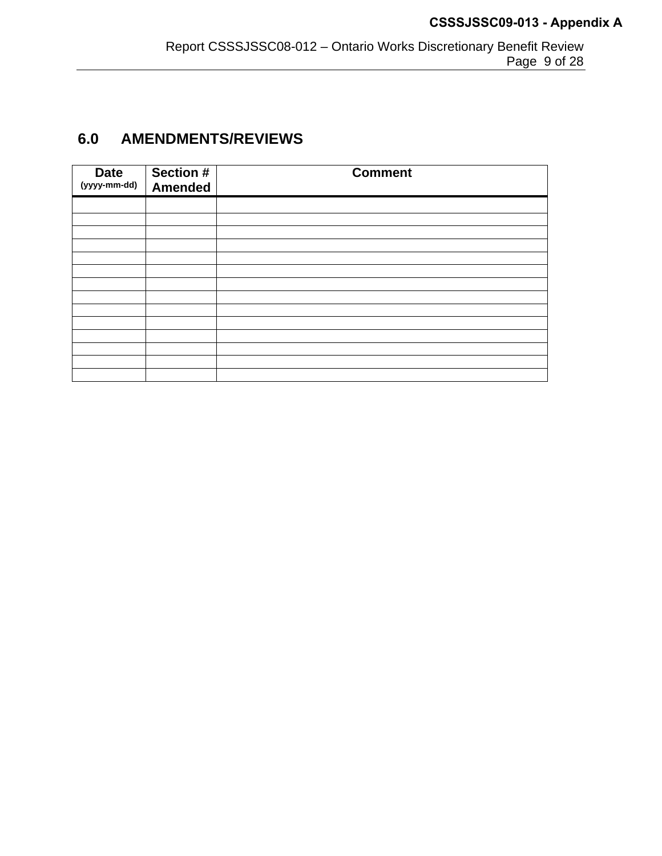# **6.0 AMENDMENTS/REVIEWS**

| <b>Date</b><br>(yyyy-mm-dd) | Section #<br><b>Amended</b> | <b>Comment</b> |
|-----------------------------|-----------------------------|----------------|
|                             |                             |                |
|                             |                             |                |
|                             |                             |                |
|                             |                             |                |
|                             |                             |                |
|                             |                             |                |
|                             |                             |                |
|                             |                             |                |
|                             |                             |                |
|                             |                             |                |
|                             |                             |                |
|                             |                             |                |
|                             |                             |                |
|                             |                             |                |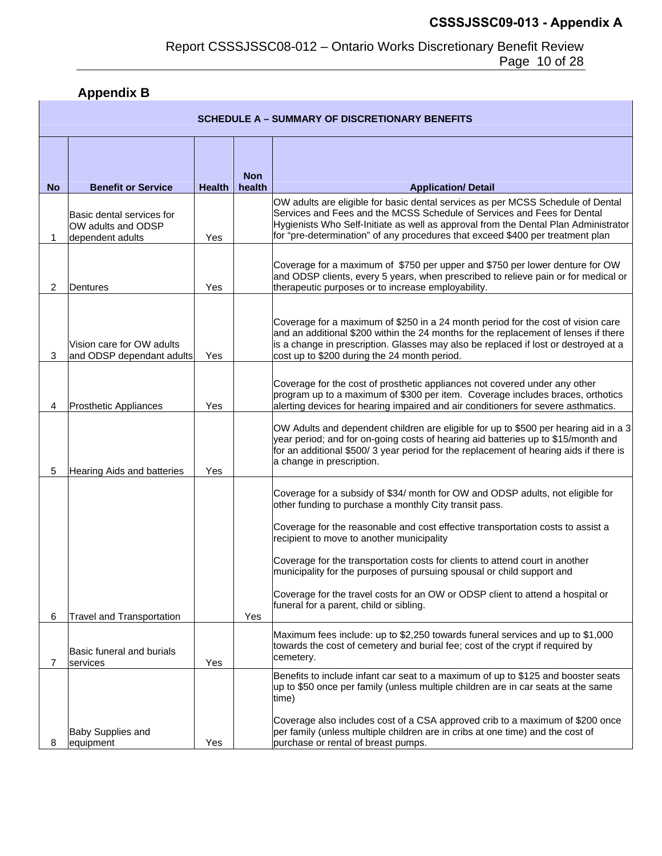# **Appendix B**

|           | <b>SCHEDULE A – SUMMARY OF DISCRETIONARY BENEFITS</b>               |               |                      |                                                                                                                                                                                                                                                                                                                                     |  |  |  |  |  |
|-----------|---------------------------------------------------------------------|---------------|----------------------|-------------------------------------------------------------------------------------------------------------------------------------------------------------------------------------------------------------------------------------------------------------------------------------------------------------------------------------|--|--|--|--|--|
| <b>No</b> | <b>Benefit or Service</b>                                           | <b>Health</b> | <b>Non</b><br>health | <b>Application/ Detail</b>                                                                                                                                                                                                                                                                                                          |  |  |  |  |  |
|           | Basic dental services for<br>OW adults and ODSP<br>dependent adults | Yes           |                      | OW adults are eligible for basic dental services as per MCSS Schedule of Dental<br>Services and Fees and the MCSS Schedule of Services and Fees for Dental<br>Hygienists Who Self-Initiate as well as approval from the Dental Plan Administrator<br>for "pre-determination" of any procedures that exceed \$400 per treatment plan |  |  |  |  |  |
| 2         | Dentures                                                            | Yes           |                      | Coverage for a maximum of \$750 per upper and \$750 per lower denture for OW<br>and ODSP clients, every 5 years, when prescribed to relieve pain or for medical or<br>therapeutic purposes or to increase employability.                                                                                                            |  |  |  |  |  |
| 3         | Vision care for OW adults<br>and ODSP dependant adults              | Yes           |                      | Coverage for a maximum of \$250 in a 24 month period for the cost of vision care<br>and an additional \$200 within the 24 months for the replacement of lenses if there<br>is a change in prescription. Glasses may also be replaced if lost or destroyed at a<br>cost up to \$200 during the 24 month period.                      |  |  |  |  |  |
| 4         | <b>Prosthetic Appliances</b>                                        | Yes           |                      | Coverage for the cost of prosthetic appliances not covered under any other<br>program up to a maximum of \$300 per item. Coverage includes braces, orthotics<br>alerting devices for hearing impaired and air conditioners for severe asthmatics.                                                                                   |  |  |  |  |  |
| 5         | Hearing Aids and batteries                                          | Yes           |                      | OW Adults and dependent children are eligible for up to \$500 per hearing aid in a 3<br>year period; and for on-going costs of hearing aid batteries up to \$15/month and<br>for an additional \$500/3 year period for the replacement of hearing aids if there is<br>a change in prescription.                                     |  |  |  |  |  |
|           |                                                                     |               |                      | Coverage for a subsidy of \$34/ month for OW and ODSP adults, not eligible for<br>other funding to purchase a monthly City transit pass.                                                                                                                                                                                            |  |  |  |  |  |
|           |                                                                     |               |                      | Coverage for the reasonable and cost effective transportation costs to assist a<br>recipient to move to another municipality                                                                                                                                                                                                        |  |  |  |  |  |
|           |                                                                     |               |                      | Coverage for the transportation costs for clients to attend court in another<br>municipality for the purposes of pursuing spousal or child support and                                                                                                                                                                              |  |  |  |  |  |
| 6         | <b>Travel and Transportation</b>                                    |               | Yes                  | Coverage for the travel costs for an OW or ODSP client to attend a hospital or<br>funeral for a parent, child or sibling.                                                                                                                                                                                                           |  |  |  |  |  |
| 7         | Basic funeral and burials<br>services                               | Yes           |                      | Maximum fees include: up to \$2,250 towards funeral services and up to \$1,000<br>towards the cost of cemetery and burial fee; cost of the crypt if required by<br>cemetery.                                                                                                                                                        |  |  |  |  |  |
|           |                                                                     |               |                      | Benefits to include infant car seat to a maximum of up to \$125 and booster seats<br>up to \$50 once per family (unless multiple children are in car seats at the same<br>time)                                                                                                                                                     |  |  |  |  |  |
| 8         | <b>Baby Supplies and</b><br>equipment                               | Yes           |                      | Coverage also includes cost of a CSA approved crib to a maximum of \$200 once<br>per family (unless multiple children are in cribs at one time) and the cost of<br>purchase or rental of breast pumps.                                                                                                                              |  |  |  |  |  |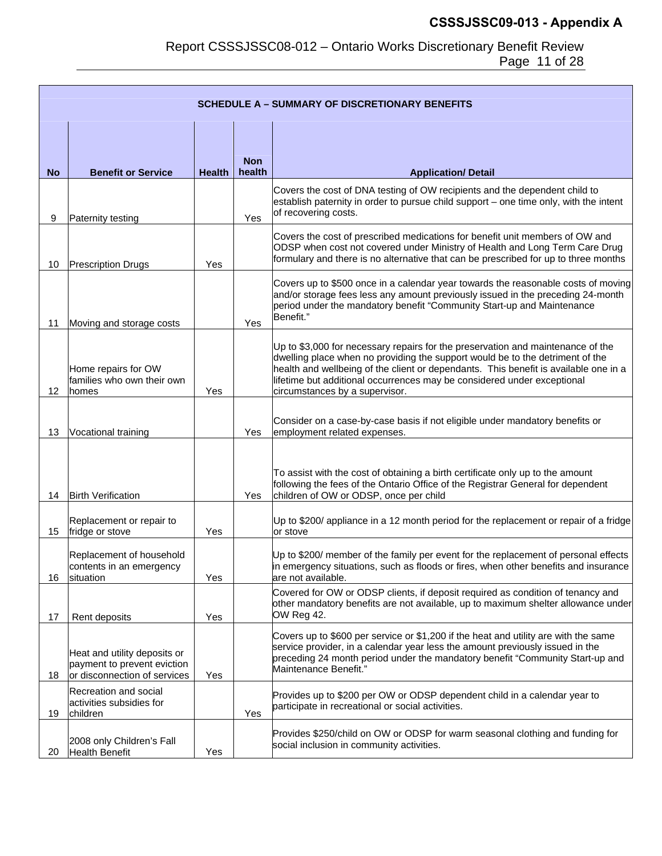#### Report CSSSJSSC08-012 – Ontario Works Discretionary Benefit Review Page 11 of 28

|                 | <b>SCHEDULE A - SUMMARY OF DISCRETIONARY BENEFITS</b>                                       |               |                      |                                                                                                                                                                                                                                                                                                                                                                       |  |  |  |  |  |
|-----------------|---------------------------------------------------------------------------------------------|---------------|----------------------|-----------------------------------------------------------------------------------------------------------------------------------------------------------------------------------------------------------------------------------------------------------------------------------------------------------------------------------------------------------------------|--|--|--|--|--|
| <b>No</b>       | <b>Benefit or Service</b>                                                                   | <b>Health</b> | <b>Non</b><br>health | <b>Application/ Detail</b>                                                                                                                                                                                                                                                                                                                                            |  |  |  |  |  |
| 9               | Paternity testing                                                                           |               | Yes                  | Covers the cost of DNA testing of OW recipients and the dependent child to<br>establish paternity in order to pursue child support - one time only, with the intent<br>of recovering costs.                                                                                                                                                                           |  |  |  |  |  |
| 10              | <b>Prescription Drugs</b>                                                                   | Yes           |                      | Covers the cost of prescribed medications for benefit unit members of OW and<br>ODSP when cost not covered under Ministry of Health and Long Term Care Drug<br>formulary and there is no alternative that can be prescribed for up to three months                                                                                                                    |  |  |  |  |  |
| 11              | Moving and storage costs                                                                    |               | Yes                  | Covers up to \$500 once in a calendar year towards the reasonable costs of moving<br>and/or storage fees less any amount previously issued in the preceding 24-month<br>period under the mandatory benefit "Community Start-up and Maintenance<br>Benefit."                                                                                                           |  |  |  |  |  |
| 12 <sup>2</sup> | Home repairs for OW<br>families who own their own<br><b>homes</b>                           | Yes           |                      | Up to \$3,000 for necessary repairs for the preservation and maintenance of the<br>dwelling place when no providing the support would be to the detriment of the<br>health and wellbeing of the client or dependants. This benefit is available one in a<br>lifetime but additional occurrences may be considered under exceptional<br>circumstances by a supervisor. |  |  |  |  |  |
| 13              | Vocational training                                                                         |               | Yes                  | Consider on a case-by-case basis if not eligible under mandatory benefits or<br>employment related expenses.                                                                                                                                                                                                                                                          |  |  |  |  |  |
| 14              | <b>Birth Verification</b>                                                                   |               | Yes                  | To assist with the cost of obtaining a birth certificate only up to the amount<br>following the fees of the Ontario Office of the Registrar General for dependent<br>children of OW or ODSP, once per child                                                                                                                                                           |  |  |  |  |  |
| 15              | Replacement or repair to<br>fridge or stove                                                 | Yes           |                      | Up to \$200/ appliance in a 12 month period for the replacement or repair of a fridge<br>or stove                                                                                                                                                                                                                                                                     |  |  |  |  |  |
| 16              | Replacement of household<br>contents in an emergency<br>situation                           | Yes           |                      | Up to \$200/ member of the family per event for the replacement of personal effects<br>in emergency situations, such as floods or fires, when other benefits and insurance<br>are not available.                                                                                                                                                                      |  |  |  |  |  |
| 17              | Rent deposits                                                                               | Yes           |                      | Covered for OW or ODSP clients, if deposit required as condition of tenancy and<br>other mandatory benefits are not available, up to maximum shelter allowance under<br>OW Reg 42.                                                                                                                                                                                    |  |  |  |  |  |
| 18              | Heat and utility deposits or<br>payment to prevent eviction<br>or disconnection of services | Yes           |                      | Covers up to \$600 per service or \$1,200 if the heat and utility are with the same<br>service provider, in a calendar year less the amount previously issued in the<br>preceding 24 month period under the mandatory benefit "Community Start-up and<br>Maintenance Benefit."                                                                                        |  |  |  |  |  |
| 19              | Recreation and social<br>activities subsidies for<br>children                               |               | Yes                  | Provides up to \$200 per OW or ODSP dependent child in a calendar year to<br>participate in recreational or social activities.                                                                                                                                                                                                                                        |  |  |  |  |  |
| 20              | 2008 only Children's Fall<br><b>Health Benefit</b>                                          | Yes           |                      | Provides \$250/child on OW or ODSP for warm seasonal clothing and funding for<br>social inclusion in community activities.                                                                                                                                                                                                                                            |  |  |  |  |  |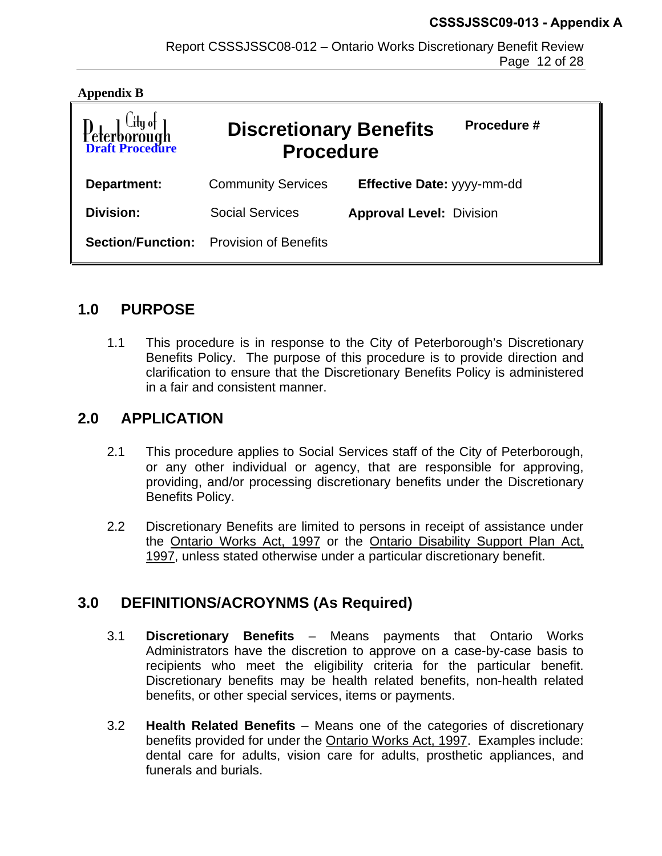| <b>Appendix B</b>               |                                                   |                                 |
|---------------------------------|---------------------------------------------------|---------------------------------|
| Deterborough<br>Draft Procedure | <b>Discretionary Benefits</b><br><b>Procedure</b> | Procedure #                     |
| Department:                     | <b>Community Services</b>                         | Effective Date: yyyy-mm-dd      |
| Division:                       | <b>Social Services</b>                            | <b>Approval Level: Division</b> |
| <b>Section/Function:</b>        | <b>Provision of Benefits</b>                      |                                 |

## **1.0 PURPOSE**

1.1 This procedure is in response to the City of Peterborough's Discretionary Benefits Policy. The purpose of this procedure is to provide direction and clarification to ensure that the Discretionary Benefits Policy is administered in a fair and consistent manner.

## **2.0 APPLICATION**

- 2.1 This procedure applies to Social Services staff of the City of Peterborough, or any other individual or agency, that are responsible for approving, providing, and/or processing discretionary benefits under the Discretionary Benefits Policy.
- 2.2 Discretionary Benefits are limited to persons in receipt of assistance under the Ontario Works Act, 1997 or the Ontario Disability Support Plan Act, 1997, unless stated otherwise under a particular discretionary benefit.

## **3.0 DEFINITIONS/ACROYNMS (As Required)**

- 3.1 **Discretionary Benefits** Means payments that Ontario Works Administrators have the discretion to approve on a case-by-case basis to recipients who meet the eligibility criteria for the particular benefit. Discretionary benefits may be health related benefits, non-health related benefits, or other special services, items or payments.
- 3.2 **Health Related Benefits** Means one of the categories of discretionary benefits provided for under the Ontario Works Act, 1997. Examples include: dental care for adults, vision care for adults, prosthetic appliances, and funerals and burials.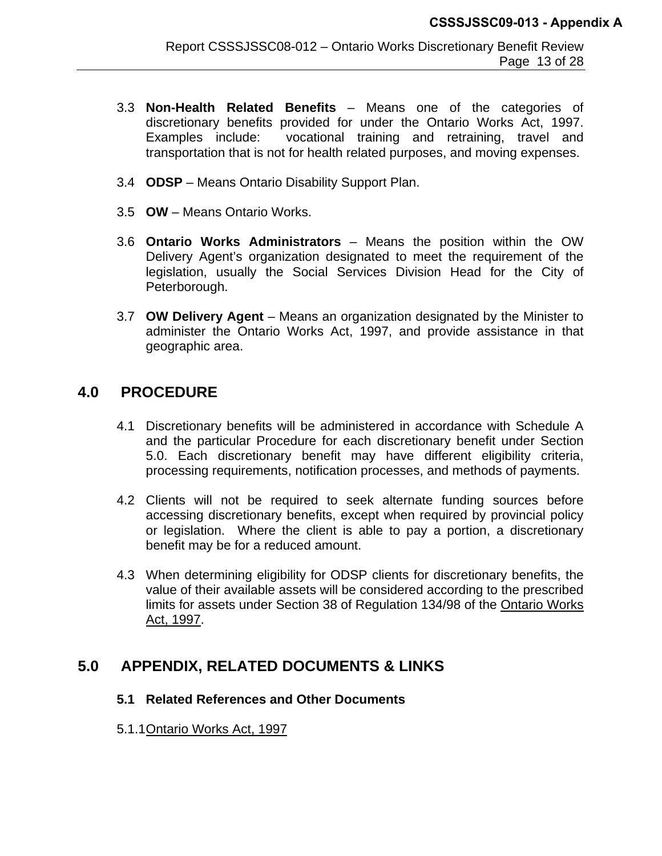- 3.3 **Non-Health Related Benefits** Means one of the categories of discretionary benefits provided for under the Ontario Works Act, 1997. Examples include: vocational training and retraining, travel and transportation that is not for health related purposes, and moving expenses.
- 3.4 **ODSP** Means Ontario Disability Support Plan.
- 3.5 **OW** Means Ontario Works.
- 3.6 **Ontario Works Administrators** Means the position within the OW Delivery Agent's organization designated to meet the requirement of the legislation, usually the Social Services Division Head for the City of Peterborough.
- 3.7 **OW Delivery Agent** Means an organization designated by the Minister to administer the Ontario Works Act, 1997, and provide assistance in that geographic area.

## **4.0 PROCEDURE**

- 4.1 Discretionary benefits will be administered in accordance with Schedule A and the particular Procedure for each discretionary benefit under Section 5.0. Each discretionary benefit may have different eligibility criteria, processing requirements, notification processes, and methods of payments.
- 4.2 Clients will not be required to seek alternate funding sources before accessing discretionary benefits, except when required by provincial policy or legislation. Where the client is able to pay a portion, a discretionary benefit may be for a reduced amount.
- 4.3 When determining eligibility for ODSP clients for discretionary benefits, the value of their available assets will be considered according to the prescribed limits for assets under Section 38 of Regulation 134/98 of the Ontario Works Act, 1997.

## **5.0 APPENDIX, RELATED DOCUMENTS & LINKS**

#### **5.1 Related References and Other Documents**

5.1.1 Ontario Works Act, 1997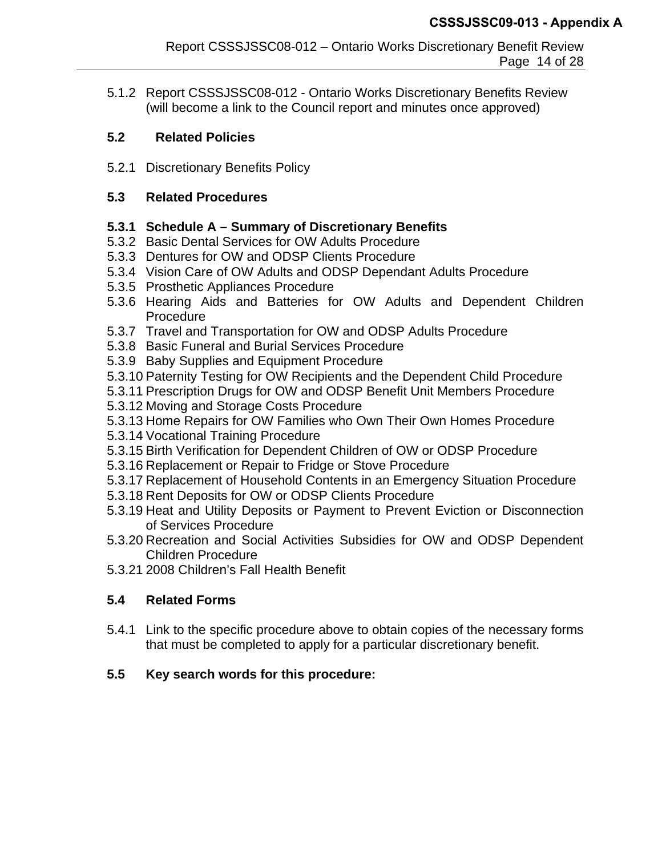5.1.2 Report CSSSJSSC08-012 - Ontario Works Discretionary Benefits Review (will become a link to the Council report and minutes once approved)

## **5.2 Related Policies**

5.2.1 Discretionary Benefits Policy

## **5.3 Related Procedures**

## **5.3.1 Schedule A – Summary of Discretionary Benefits**

- 5.3.2 Basic Dental Services for OW Adults Procedure
- 5.3.3 Dentures for OW and ODSP Clients Procedure
- 5.3.4 Vision Care of OW Adults and ODSP Dependant Adults Procedure
- 5.3.5 Prosthetic Appliances Procedure
- 5.3.6 Hearing Aids and Batteries for OW Adults and Dependent Children Procedure
- 5.3.7 Travel and Transportation for OW and ODSP Adults Procedure
- 5.3.8 Basic Funeral and Burial Services Procedure
- 5.3.9 Baby Supplies and Equipment Procedure
- 5.3.10 Paternity Testing for OW Recipients and the Dependent Child Procedure
- 5.3.11 Prescription Drugs for OW and ODSP Benefit Unit Members Procedure
- 5.3.12 Moving and Storage Costs Procedure
- 5.3.13 Home Repairs for OW Families who Own Their Own Homes Procedure
- 5.3.14 Vocational Training Procedure
- 5.3.15 Birth Verification for Dependent Children of OW or ODSP Procedure
- 5.3.16 Replacement or Repair to Fridge or Stove Procedure
- 5.3.17 Replacement of Household Contents in an Emergency Situation Procedure
- 5.3.18 Rent Deposits for OW or ODSP Clients Procedure
- 5.3.19 Heat and Utility Deposits or Payment to Prevent Eviction or Disconnection of Services Procedure
- 5.3.20 Recreation and Social Activities Subsidies for OW and ODSP Dependent Children Procedure
- 5.3.21 2008 Children's Fall Health Benefit

## **5.4 Related Forms**

5.4.1 Link to the specific procedure above to obtain copies of the necessary forms that must be completed to apply for a particular discretionary benefit.

## **5.5 Key search words for this procedure:**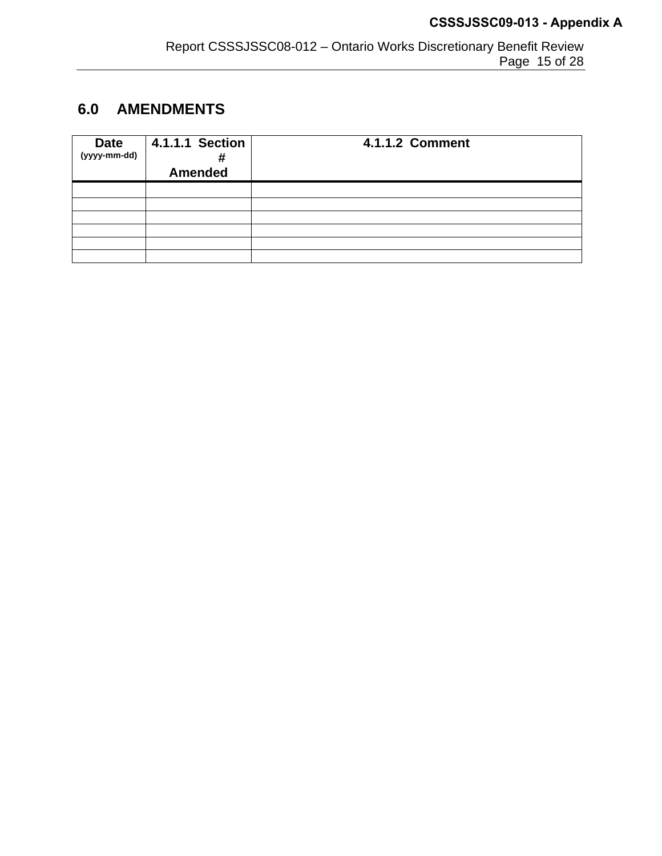# **6.0 AMENDMENTS**

| <b>Date</b><br>$(yyyy-mm-dd)$ | 4.1.1.1 Section<br>Ħ<br><b>Amended</b> | <b>4.1.1.2 Comment</b> |
|-------------------------------|----------------------------------------|------------------------|
|                               |                                        |                        |
|                               |                                        |                        |
|                               |                                        |                        |
|                               |                                        |                        |
|                               |                                        |                        |
|                               |                                        |                        |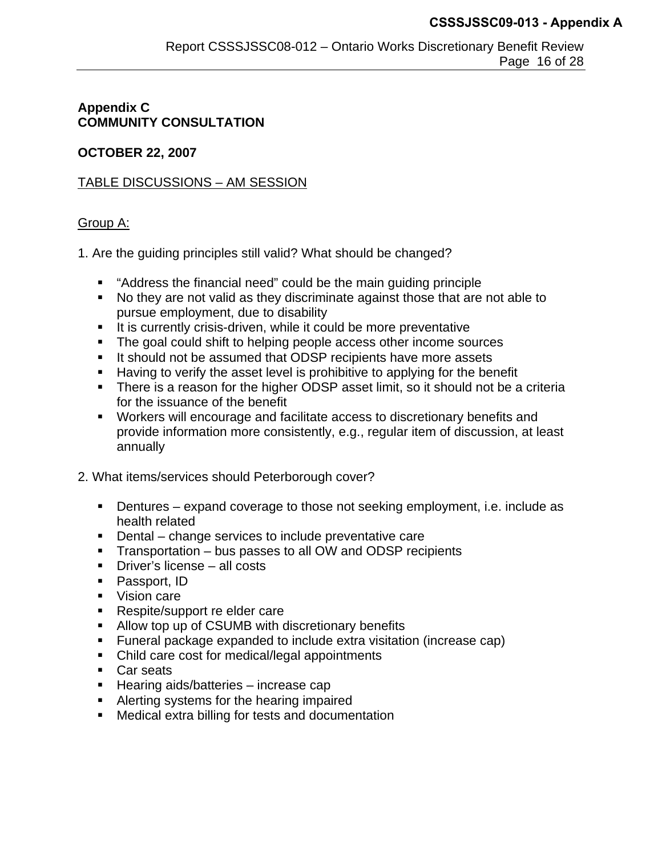## **Appendix C COMMUNITY CONSULTATION**

### **OCTOBER 22, 2007**

### TABLE DISCUSSIONS – AM SESSION

### Group A:

1. Are the guiding principles still valid? What should be changed?

- "Address the financial need" could be the main guiding principle
- No they are not valid as they discriminate against those that are not able to pursue employment, due to disability
- $\blacksquare$  It is currently crisis-driven, while it could be more preventative
- The goal could shift to helping people access other income sources
- It should not be assumed that ODSP recipients have more assets
- Having to verify the asset level is prohibitive to applying for the benefit
- There is a reason for the higher ODSP asset limit, so it should not be a criteria for the issuance of the benefit
- Workers will encourage and facilitate access to discretionary benefits and provide information more consistently, e.g., regular item of discussion, at least annually
- 2. What items/services should Peterborough cover?
	- Dentures expand coverage to those not seeking employment, i.e. include as health related
	- Dental change services to include preventative care
	- **Transportation bus passes to all OW and ODSP recipients**
	- **Driver's license all costs**
	- **Passport, ID**
	- Vision care
	- **Respite/support re elder care**
	- Allow top up of CSUMB with discretionary benefits
	- Funeral package expanded to include extra visitation (increase cap)
	- Child care cost for medical/legal appointments
	- **Car seats**
	- Hearing aids/batteries increase cap
	- Alerting systems for the hearing impaired
	- Medical extra billing for tests and documentation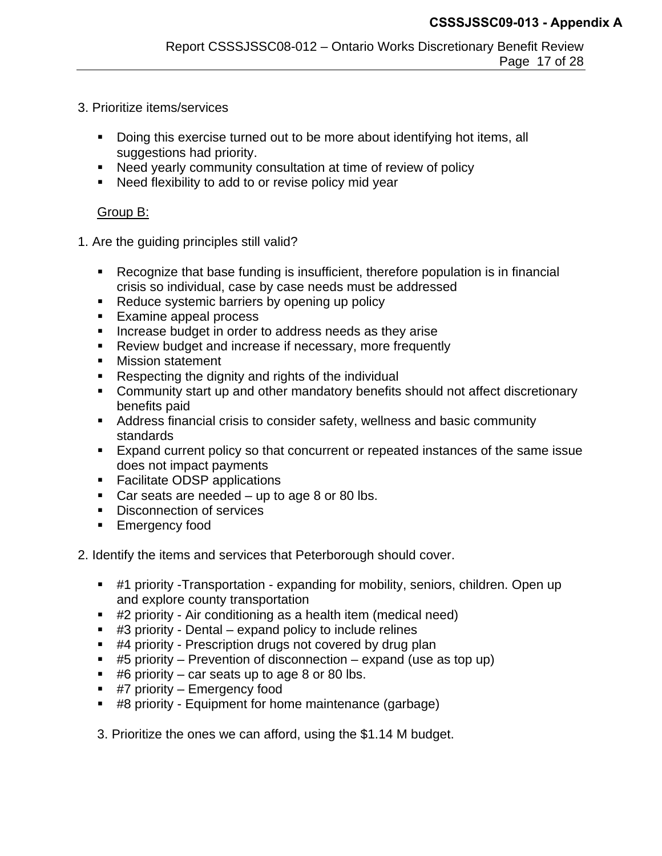- 3. Prioritize items/services
	- Doing this exercise turned out to be more about identifying hot items, all suggestions had priority.
	- Need yearly community consultation at time of review of policy
	- Need flexibility to add to or revise policy mid year

#### Group B:

- 1. Are the guiding principles still valid?
	- Recognize that base funding is insufficient, therefore population is in financial crisis so individual, case by case needs must be addressed
	- Reduce systemic barriers by opening up policy
	- **Examine appeal process**
	- **Increase budget in order to address needs as they arise**
	- **Review budget and increase if necessary, more frequently**
	- **Mission statement**
	- Respecting the dignity and rights of the individual
	- Community start up and other mandatory benefits should not affect discretionary benefits paid
	- Address financial crisis to consider safety, wellness and basic community standards
	- Expand current policy so that concurrent or repeated instances of the same issue does not impact payments
	- Facilitate ODSP applications
	- Car seats are needed  $-$  up to age 8 or 80 lbs.
	- **Disconnection of services**
	- **Emergency food**

2. Identify the items and services that Peterborough should cover.

- #1 priority -Transportation expanding for mobility, seniors, children. Open up and explore county transportation
- #2 priority Air conditioning as a health item (medical need)
- $\blacksquare$  #3 priority Dental expand policy to include relines
- #4 priority Prescription drugs not covered by drug plan
- $\bullet$  #5 priority Prevention of disconnection expand (use as top up)
- $\pm 46$  priority car seats up to age 8 or 80 lbs.
- $\blacksquare$  #7 priority Emergency food
- #8 priority Equipment for home maintenance (garbage)
- 3. Prioritize the ones we can afford, using the \$1.14 M budget.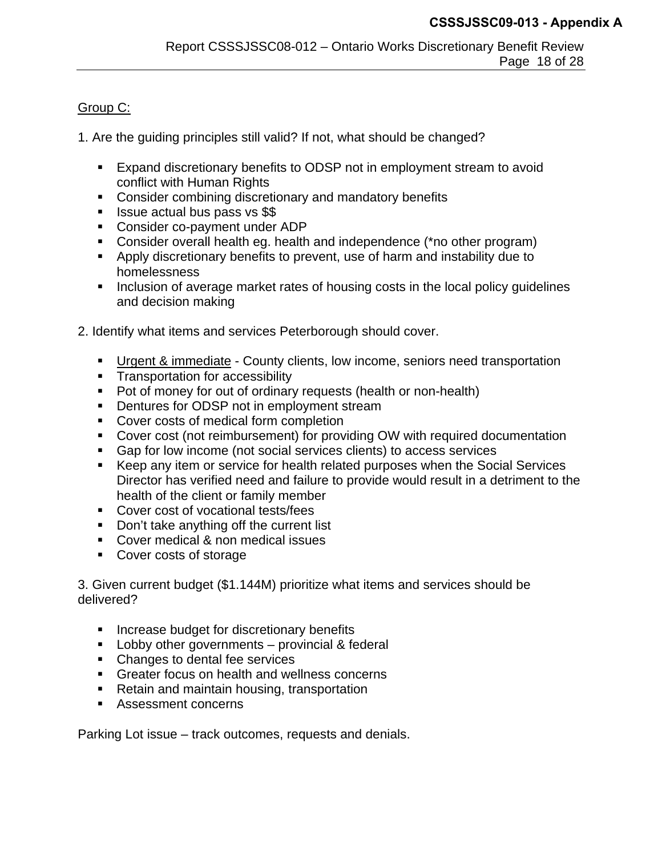### Group C:

1. Are the guiding principles still valid? If not, what should be changed?

- Expand discretionary benefits to ODSP not in employment stream to avoid conflict with Human Rights
- **Consider combining discretionary and mandatory benefits**
- **In Itsue actual bus pass vs \$\$**
- **Consider co-payment under ADP**
- Consider overall health eg. health and independence (\*no other program)
- Apply discretionary benefits to prevent, use of harm and instability due to homelessness
- Inclusion of average market rates of housing costs in the local policy guidelines and decision making
- 2. Identify what items and services Peterborough should cover.
	- **Urgent & immediate County clients, low income, seniors need transportation**
	- **Transportation for accessibility**
	- Pot of money for out of ordinary requests (health or non-health)
	- **•** Dentures for ODSP not in employment stream
	- **Cover costs of medical form completion**
	- Cover cost (not reimbursement) for providing OW with required documentation
	- Gap for low income (not social services clients) to access services
	- Keep any item or service for health related purposes when the Social Services Director has verified need and failure to provide would result in a detriment to the health of the client or family member
	- **Cover cost of vocational tests/fees**
	- **Don't take anything off the current list**
	- **Cover medical & non medical issues**
	- Cover costs of storage

3. Given current budget (\$1.144M) prioritize what items and services should be delivered?

- **Increase budget for discretionary benefits**
- **Lobby other governments** provincial & federal
- Changes to dental fee services
- **Greater focus on health and wellness concerns**
- Retain and maintain housing, transportation
- **Assessment concerns**

Parking Lot issue – track outcomes, requests and denials.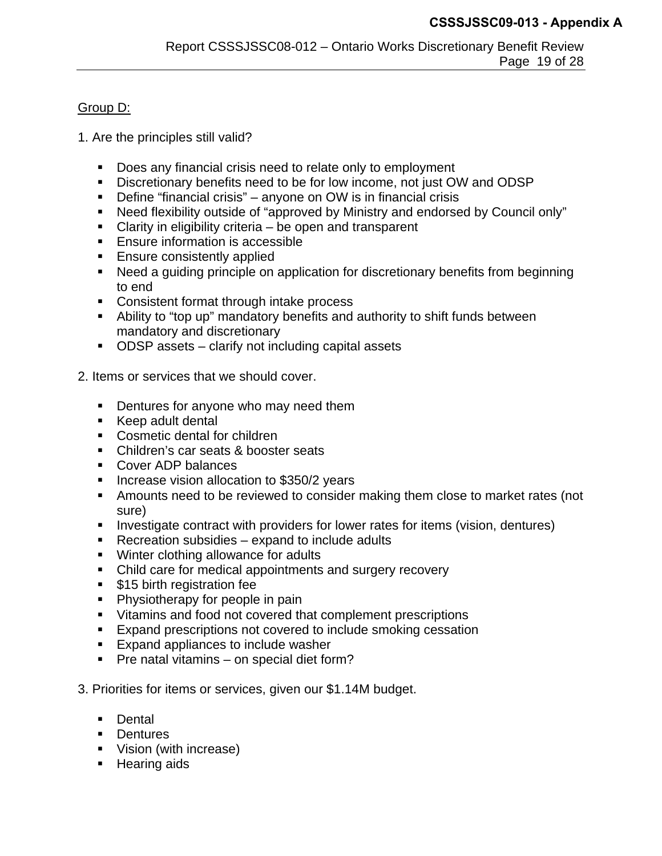### Group D:

- 1. Are the principles still valid?
	- Does any financial crisis need to relate only to employment
	- Discretionary benefits need to be for low income, not just OW and ODSP
	- Define "financial crisis" anyone on OW is in financial crisis
	- Need flexibility outside of "approved by Ministry and endorsed by Council only"
	- Clarity in eligibility criteria be open and transparent
	- **Ensure information is accessible**
	- **Ensure consistently applied**
	- Need a guiding principle on application for discretionary benefits from beginning to end
	- Consistent format through intake process
	- Ability to "top up" mandatory benefits and authority to shift funds between mandatory and discretionary
	- ODSP assets clarify not including capital assets
- 2. Items or services that we should cover.
	- **Dentures for anyone who may need them**
	- Keep adult dental
	- **Cosmetic dental for children**
	- Children's car seats & booster seats
	- Cover ADP balances
	- **Increase vision allocation to \$350/2 years**
	- Amounts need to be reviewed to consider making them close to market rates (not sure)
	- Investigate contract with providers for lower rates for items (vision, dentures)
	- Recreation subsidies expand to include adults
	- Winter clothing allowance for adults
	- Child care for medical appointments and surgery recovery
	- **515 birth registration fee**
	- **Physiotherapy for people in pain**
	- Vitamins and food not covered that complement prescriptions
	- **Expand prescriptions not covered to include smoking cessation**
	- Expand appliances to include washer
	- **Pre natal vitamins on special diet form?**
- 3. Priorities for items or services, given our \$1.14M budget.
	- **Dental**
	- **Dentures**
	- **Vision (with increase)**
	- **Hearing aids**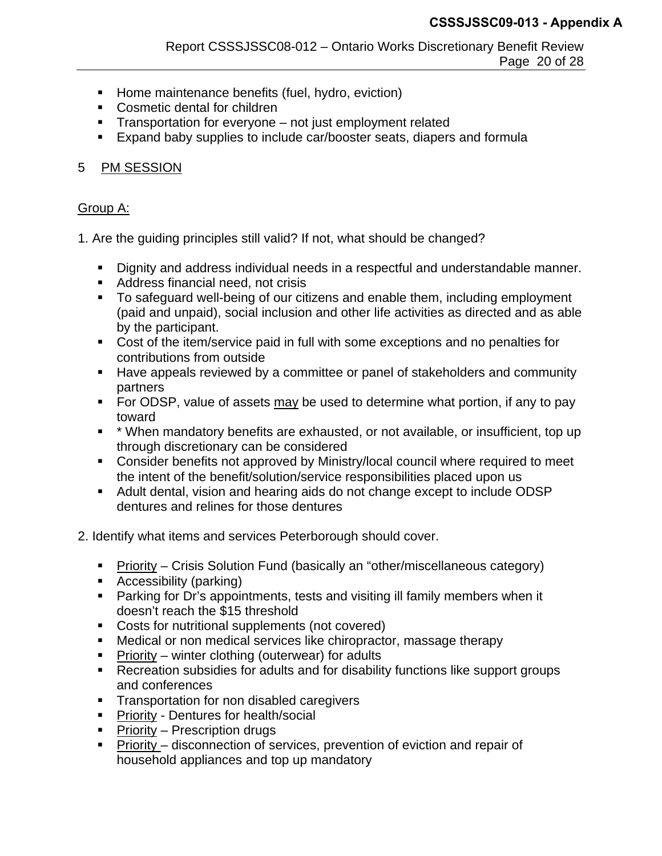- **Home maintenance benefits (fuel, hydro, eviction)**
- **Cosmetic dental for children**
- **Transportation for everyone** not just employment related
- **Expand baby supplies to include car/booster seats, diapers and formula**

## 5 PM SESSION

### Group A:

1. Are the guiding principles still valid? If not, what should be changed?

- Dignity and address individual needs in a respectful and understandable manner.
- **Address financial need, not crisis**
- To safeguard well-being of our citizens and enable them, including employment (paid and unpaid), social inclusion and other life activities as directed and as able by the participant.
- Cost of the item/service paid in full with some exceptions and no penalties for contributions from outside
- Have appeals reviewed by a committee or panel of stakeholders and community partners
- For ODSP, value of assets may be used to determine what portion, if any to pay toward
- \* When mandatory benefits are exhausted, or not available, or insufficient, top up through discretionary can be considered
- Consider benefits not approved by Ministry/local council where required to meet the intent of the benefit/solution/service responsibilities placed upon us
- Adult dental, vision and hearing aids do not change except to include ODSP dentures and relines for those dentures
- 2. Identify what items and services Peterborough should cover.
	- Priority Crisis Solution Fund (basically an "other/miscellaneous category)
	- **Accessibility (parking)**
	- Parking for Dr's appointments, tests and visiting ill family members when it doesn't reach the \$15 threshold
	- **Costs for nutritional supplements (not covered)**
	- Medical or non medical services like chiropractor, massage therapy
	- Priority winter clothing (outerwear) for adults
	- Recreation subsidies for adults and for disability functions like support groups and conferences
	- **Transportation for non disabled caregivers**
	- **Priority Dentures for health/social**
	- **Priority Prescription drugs**
	- Priority disconnection of services, prevention of eviction and repair of household appliances and top up mandatory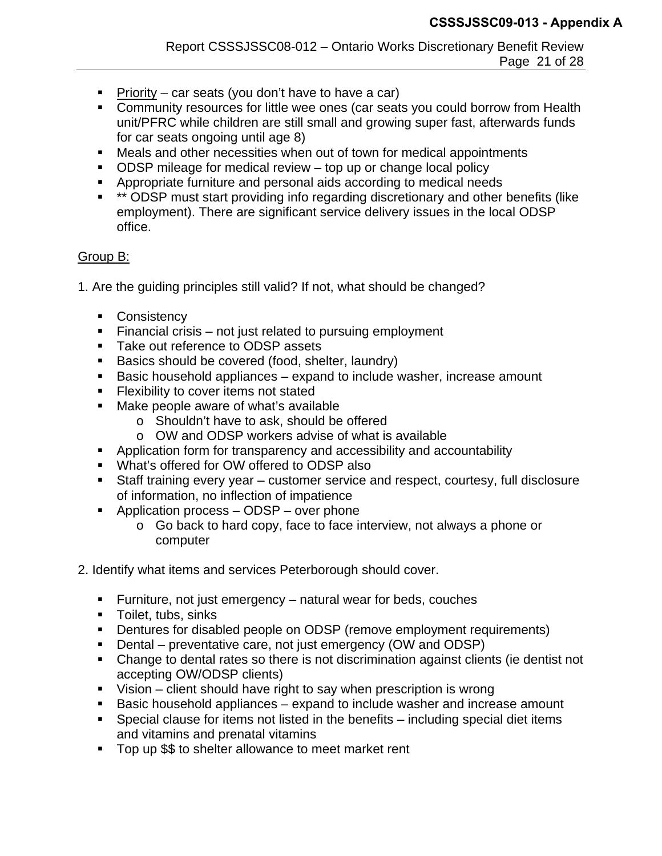- Priority car seats (you don't have to have a car)
- Community resources for little wee ones (car seats you could borrow from Health unit/PFRC while children are still small and growing super fast, afterwards funds for car seats ongoing until age 8)
- Meals and other necessities when out of town for medical appointments
- ODSP mileage for medical review top up or change local policy
- Appropriate furniture and personal aids according to medical needs
- \*\* ODSP must start providing info regarding discretionary and other benefits (like employment). There are significant service delivery issues in the local ODSP office.

## Group B:

- 1. Are the guiding principles still valid? If not, what should be changed?
	- Consistency
	- Financial crisis not just related to pursuing employment
	- Take out reference to ODSP assets
	- Basics should be covered (food, shelter, laundry)
	- Basic household appliances expand to include washer, increase amount
	- **Flexibility to cover items not stated**
	- Make people aware of what's available
		- o Shouldn't have to ask, should be offered
		- o OW and ODSP workers advise of what is available
	- Application form for transparency and accessibility and accountability
	- What's offered for OW offered to ODSP also
	- Staff training every year customer service and respect, courtesy, full disclosure of information, no inflection of impatience
	- Application process ODSP over phone
		- o Go back to hard copy, face to face interview, not always a phone or computer
- 2. Identify what items and services Peterborough should cover.
	- Furniture, not just emergency natural wear for beds, couches
	- **Toilet, tubs, sinks**
	- Dentures for disabled people on ODSP (remove employment requirements)
	- Dental preventative care, not just emergency (OW and ODSP)
	- Change to dental rates so there is not discrimination against clients (ie dentist not accepting OW/ODSP clients)
	- $\blacksquare$  Vision client should have right to say when prescription is wrong
	- Basic household appliances expand to include washer and increase amount
	- Special clause for items not listed in the benefits including special diet items and vitamins and prenatal vitamins
	- **Top up \$\$ to shelter allowance to meet market rent**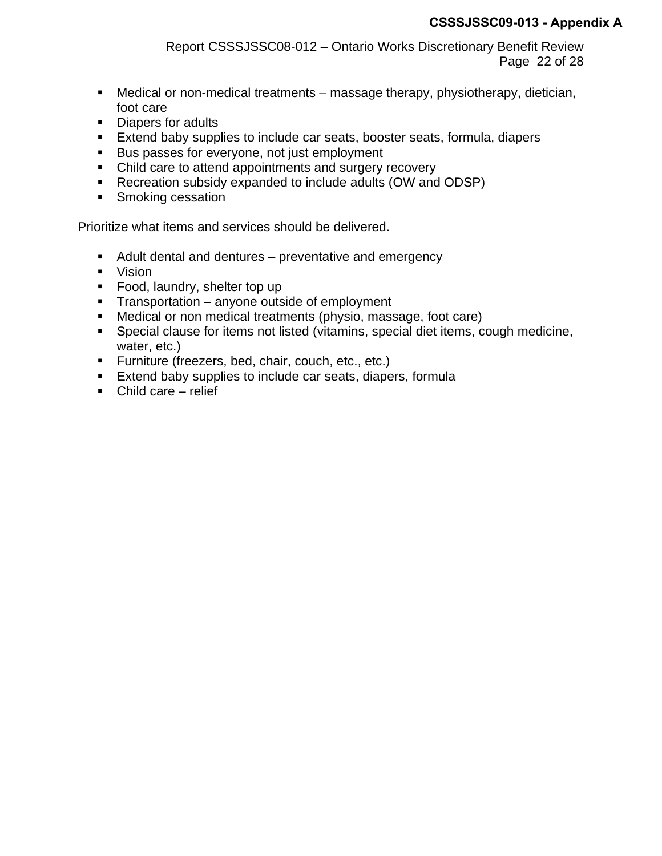- Medical or non-medical treatments massage therapy, physiotherapy, dietician, foot care
- Diapers for adults
- **Extend baby supplies to include car seats, booster seats, formula, diapers**
- Bus passes for everyone, not just employment
- Child care to attend appointments and surgery recovery
- Recreation subsidy expanded to include adults (OW and ODSP)
- **Smoking cessation**

Prioritize what items and services should be delivered.

- Adult dental and dentures preventative and emergency
- Vision
- Food, laundry, shelter top up
- **Transportation anyone outside of employment**
- Medical or non medical treatments (physio, massage, foot care)
- Special clause for items not listed (vitamins, special diet items, cough medicine, water, etc.)
- **Furniture (freezers, bed, chair, couch, etc., etc.)**
- **Extend baby supplies to include car seats, diapers, formula**
- Child care relief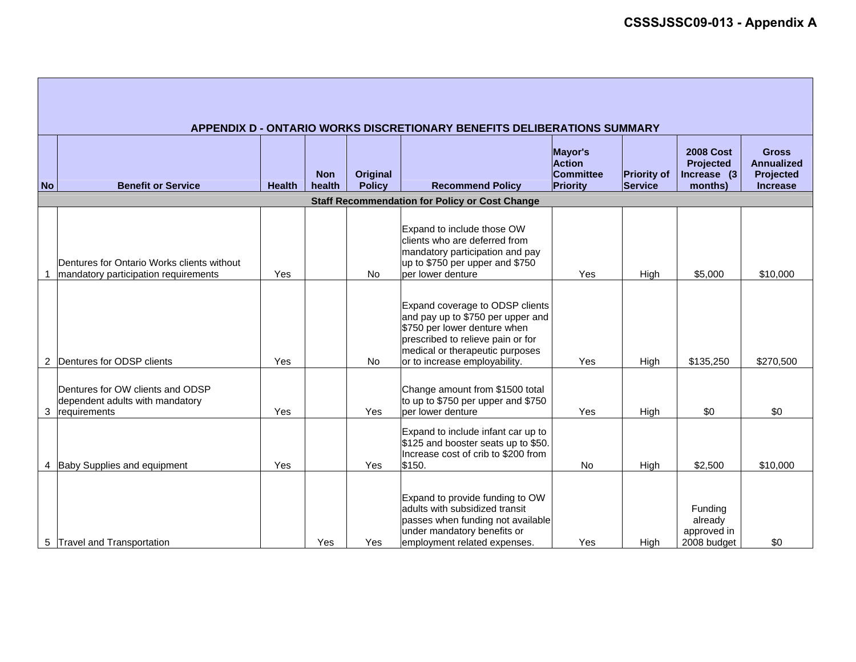|                | APPENDIX D - ONTARIO WORKS DISCRETIONARY BENEFITS DELIBERATIONS SUMMARY             |               |                      |                           |                                                                                                                                                                                                               |                                                          |                                      |                                                         |                                                                   |
|----------------|-------------------------------------------------------------------------------------|---------------|----------------------|---------------------------|---------------------------------------------------------------------------------------------------------------------------------------------------------------------------------------------------------------|----------------------------------------------------------|--------------------------------------|---------------------------------------------------------|-------------------------------------------------------------------|
| <b>No</b>      | <b>Benefit or Service</b>                                                           | <b>Health</b> | <b>Non</b><br>health | Original<br><b>Policy</b> | <b>Recommend Policy</b>                                                                                                                                                                                       | Mayor's<br><b>Action</b><br><b>Committee</b><br>Priority | <b>Priority of</b><br><b>Service</b> | <b>2008 Cost</b><br>Projected<br>Increase (3<br>months) | <b>Gross</b><br><b>Annualized</b><br>Projected<br><b>Increase</b> |
|                |                                                                                     |               |                      |                           | <b>Staff Recommendation for Policy or Cost Change</b>                                                                                                                                                         |                                                          |                                      |                                                         |                                                                   |
|                | Dentures for Ontario Works clients without<br>mandatory participation requirements  | Yes           |                      | <b>No</b>                 | Expand to include those OW<br>clients who are deferred from<br>mandatory participation and pay<br>up to \$750 per upper and \$750<br>per lower denture                                                        | Yes                                                      | High                                 | \$5,000                                                 | \$10,000                                                          |
| $\overline{c}$ | Dentures for ODSP clients                                                           | Yes           |                      | <b>No</b>                 | Expand coverage to ODSP clients<br>and pay up to \$750 per upper and<br>\$750 per lower denture when<br>prescribed to relieve pain or for<br>medical or therapeutic purposes<br>or to increase employability. | Yes                                                      | High                                 | \$135,250                                               | \$270,500                                                         |
| 3              | Dentures for OW clients and ODSP<br>dependent adults with mandatory<br>requirements | Yes           |                      | Yes                       | Change amount from \$1500 total<br>to up to \$750 per upper and \$750<br>per lower denture                                                                                                                    | Yes                                                      | High                                 | \$0                                                     | \$0                                                               |
| 4              | Baby Supplies and equipment                                                         | Yes           |                      | Yes                       | Expand to include infant car up to<br>\$125 and booster seats up to \$50.<br>Increase cost of crib to \$200 from<br>\$150.                                                                                    | No                                                       | High                                 | \$2,500                                                 | \$10,000                                                          |
| 5              | <b>Travel and Transportation</b>                                                    |               | Yes                  | Yes                       | Expand to provide funding to OW<br>adults with subsidized transit<br>passes when funding not available<br>under mandatory benefits or<br>employment related expenses.                                         | Yes                                                      | High                                 | Funding<br>already<br>approved in<br>2008 budget        | \$0                                                               |

Г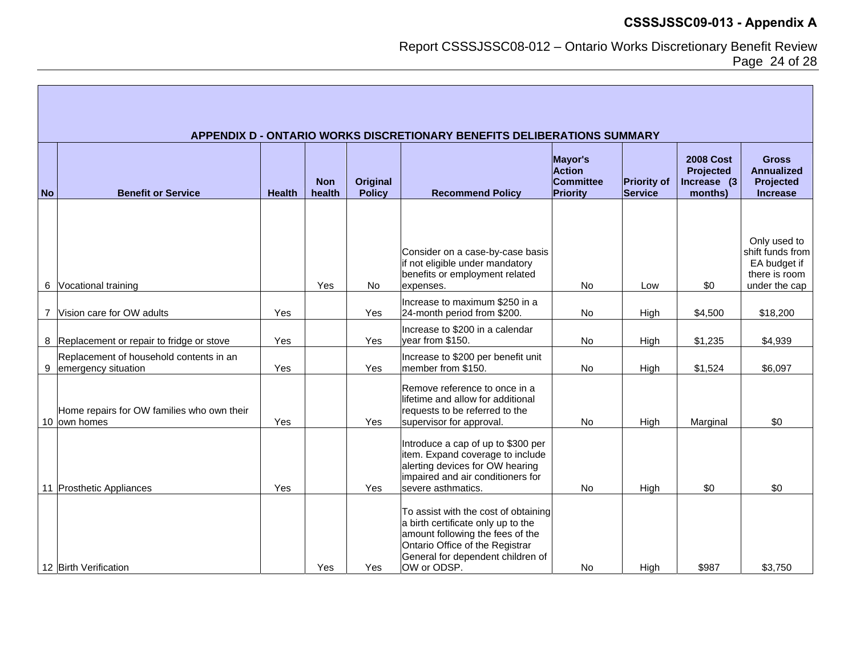Report CSSSJSSC08-012 – Ontario Works Discretionary Benefit Review Page 24 of 28

|           | APPENDIX D - ONTARIO WORKS DISCRETIONARY BENEFITS DELIBERATIONS SUMMARY |               |                      |                           |                                                                                                                                                                                                       |                                                          |                                      |                                                          |                                                                                    |
|-----------|-------------------------------------------------------------------------|---------------|----------------------|---------------------------|-------------------------------------------------------------------------------------------------------------------------------------------------------------------------------------------------------|----------------------------------------------------------|--------------------------------------|----------------------------------------------------------|------------------------------------------------------------------------------------|
| <b>No</b> | <b>Benefit or Service</b>                                               | <b>Health</b> | <b>Non</b><br>health | Original<br><b>Policy</b> | <b>Recommend Policy</b>                                                                                                                                                                               | Mayor's<br><b>Action</b><br><b>Committee</b><br>Priority | <b>Priority of</b><br><b>Service</b> | <b>2008 Cost</b><br>Projected<br>Increase (3)<br>months) | <b>Gross</b><br><b>Annualized</b><br>Projected<br><b>Increase</b>                  |
|           | 6 Vocational training                                                   |               | Yes                  | No                        | Consider on a case-by-case basis<br>if not eligible under mandatory<br>benefits or employment related<br>expenses.                                                                                    | No                                                       | Low                                  | \$0                                                      | Only used to<br>shift funds from<br>EA budget if<br>there is room<br>under the cap |
|           | 7 Vision care for OW adults                                             | Yes           |                      | Yes                       | Increase to maximum \$250 in a<br>24-month period from \$200.                                                                                                                                         | No                                                       | High                                 | \$4,500                                                  | \$18,200                                                                           |
|           | 8 Replacement or repair to fridge or stove                              | Yes           |                      | Yes                       | Increase to \$200 in a calendar<br>year from \$150.                                                                                                                                                   | No                                                       | High                                 | \$1,235                                                  | \$4,939                                                                            |
| 9         | Replacement of household contents in an<br>emergency situation          | Yes           |                      | Yes                       | Increase to \$200 per benefit unit<br>member from \$150.                                                                                                                                              | No                                                       | High                                 | \$1,524                                                  | \$6,097                                                                            |
|           | Home repairs for OW families who own their<br>10 own homes              | Yes           |                      | Yes                       | Remove reference to once in a<br>lifetime and allow for additional<br>requests to be referred to the<br>supervisor for approval.                                                                      | No                                                       | High                                 | Marginal                                                 | \$0                                                                                |
|           | 11 Prosthetic Appliances                                                | Yes           |                      | Yes                       | Introduce a cap of up to \$300 per<br>item. Expand coverage to include<br>alerting devices for OW hearing<br>impaired and air conditioners for<br>severe asthmatics.                                  | No                                                       | High                                 | \$0                                                      | \$0                                                                                |
|           | 12 Birth Verification                                                   |               | Yes                  | Yes                       | To assist with the cost of obtaining<br>a birth certificate only up to the<br>amount following the fees of the<br>Ontario Office of the Registrar<br>General for dependent children of<br>OW or ODSP. | No                                                       | High                                 | \$987                                                    | \$3,750                                                                            |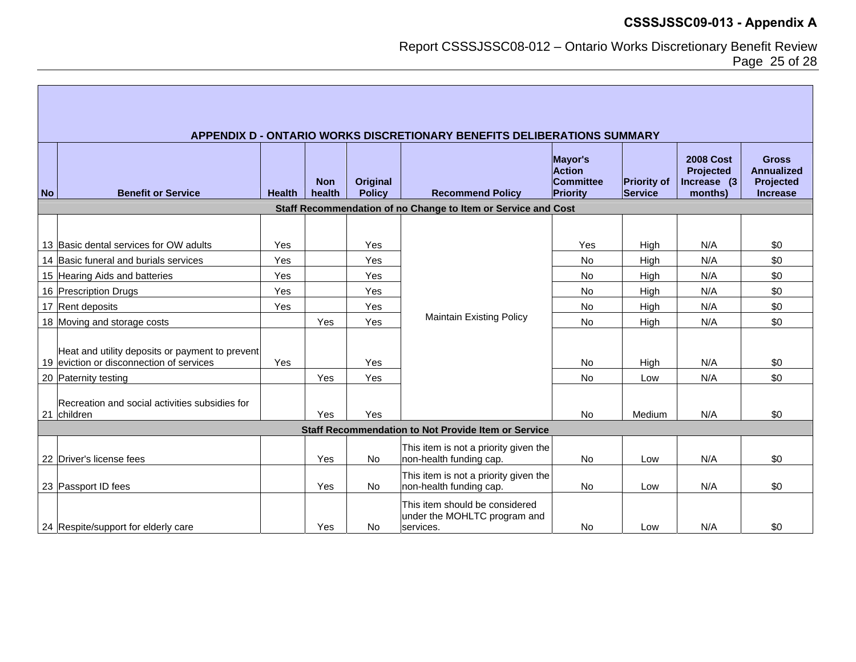Report CSSSJSSC08-012 – Ontario Works Discretionary Benefit Review Page 25 of 28

|           | APPENDIX D - ONTARIO WORKS DISCRETIONARY BENEFITS DELIBERATIONS SUMMARY                     |               |                      |                           |                                                                             |                                                          |                               |                                                         |                                                                   |  |
|-----------|---------------------------------------------------------------------------------------------|---------------|----------------------|---------------------------|-----------------------------------------------------------------------------|----------------------------------------------------------|-------------------------------|---------------------------------------------------------|-------------------------------------------------------------------|--|
| <b>No</b> | <b>Benefit or Service</b>                                                                   | <b>Health</b> | <b>Non</b><br>health | Original<br><b>Policy</b> | <b>Recommend Policy</b>                                                     | Mayor's<br><b>Action</b><br><b>Committee</b><br>Priority | <b>Priority of</b><br>Service | <b>2008 Cost</b><br>Projected<br>Increase (3<br>months) | <b>Gross</b><br><b>Annualized</b><br>Projected<br><b>Increase</b> |  |
|           |                                                                                             |               |                      |                           | Staff Recommendation of no Change to Item or Service and Cost               |                                                          |                               |                                                         |                                                                   |  |
|           |                                                                                             |               |                      |                           |                                                                             |                                                          |                               |                                                         |                                                                   |  |
|           | 13 Basic dental services for OW adults                                                      | Yes           |                      | Yes                       |                                                                             | Yes                                                      | High                          | N/A                                                     | \$0                                                               |  |
|           | 14 Basic funeral and burials services                                                       | Yes           |                      | Yes                       |                                                                             | <b>No</b>                                                | High                          | N/A                                                     | \$0                                                               |  |
|           | 15 Hearing Aids and batteries                                                               | Yes           |                      | Yes                       |                                                                             | <b>No</b>                                                | High                          | N/A                                                     | \$0                                                               |  |
|           | 16 Prescription Drugs                                                                       | Yes           |                      | Yes                       |                                                                             | <b>No</b>                                                | High                          | N/A                                                     | \$0                                                               |  |
|           | 17 Rent deposits                                                                            | Yes           |                      | Yes                       |                                                                             | No                                                       | High                          | N/A                                                     | \$0                                                               |  |
|           | 18 Moving and storage costs                                                                 |               | Yes                  | Yes                       | <b>Maintain Existing Policy</b>                                             | <b>No</b>                                                | High                          | N/A                                                     | \$0                                                               |  |
|           | Heat and utility deposits or payment to prevent<br>19 eviction or disconnection of services | Yes           |                      | Yes                       |                                                                             | <b>No</b>                                                | High                          | N/A                                                     | \$0                                                               |  |
|           | 20 Paternity testing                                                                        |               | Yes                  | Yes                       |                                                                             | <b>No</b>                                                | Low                           | N/A                                                     | \$0                                                               |  |
|           | Recreation and social activities subsidies for<br>21 children                               |               | Yes                  | Yes                       |                                                                             | <b>No</b>                                                | Medium                        | N/A                                                     | \$0                                                               |  |
|           | Staff Recommendation to Not Provide Item or Service                                         |               |                      |                           |                                                                             |                                                          |                               |                                                         |                                                                   |  |
|           | 22 Driver's license fees                                                                    |               | Yes                  | No                        | This item is not a priority given the<br>non-health funding cap.            | No                                                       | Low                           | N/A                                                     | \$0                                                               |  |
|           | 23 Passport ID fees                                                                         |               | Yes                  | No                        | This item is not a priority given the<br>non-health funding cap.            | No                                                       | Low                           | N/A                                                     | \$0                                                               |  |
|           | 24 Respite/support for elderly care                                                         |               | Yes                  | No.                       | This item should be considered<br>under the MOHLTC program and<br>services. | <b>No</b>                                                | Low                           | N/A                                                     | \$0                                                               |  |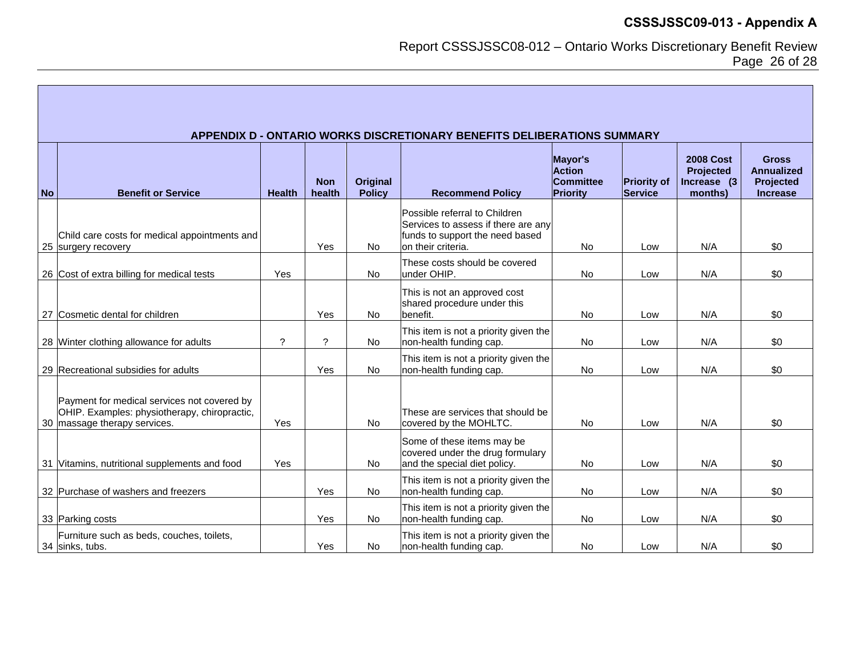Report CSSSJSSC08-012 – Ontario Works Discretionary Benefit Review Page 26 of 28

|           | APPENDIX D - ONTARIO WORKS DISCRETIONARY BENEFITS DELIBERATIONS SUMMARY                                                     |               |                      |                           |                                                                                                                               |                                                          |                                      |                                                                 |                                                                   |  |
|-----------|-----------------------------------------------------------------------------------------------------------------------------|---------------|----------------------|---------------------------|-------------------------------------------------------------------------------------------------------------------------------|----------------------------------------------------------|--------------------------------------|-----------------------------------------------------------------|-------------------------------------------------------------------|--|
| <b>No</b> | <b>Benefit or Service</b>                                                                                                   | <b>Health</b> | <b>Non</b><br>health | Original<br><b>Policy</b> | <b>Recommend Policy</b>                                                                                                       | Mayor's<br><b>Action</b><br><b>Committee</b><br>Priority | <b>Priority of</b><br><b>Service</b> | <b>2008 Cost</b><br><b>Projected</b><br>Increase (3)<br>months) | <b>Gross</b><br><b>Annualized</b><br>Projected<br><b>Increase</b> |  |
|           | Child care costs for medical appointments and<br>25 surgery recovery                                                        |               | Yes                  | <b>No</b>                 | Possible referral to Children<br>Services to assess if there are any<br>funds to support the need based<br>on their criteria. | <b>No</b>                                                | Low                                  | N/A                                                             | \$0                                                               |  |
|           | 26 Cost of extra billing for medical tests                                                                                  | Yes           |                      | <b>No</b>                 | These costs should be covered<br>under OHIP.                                                                                  | <b>No</b>                                                | Low                                  | N/A                                                             | \$0                                                               |  |
|           | 27 Cosmetic dental for children                                                                                             |               | Yes                  | <b>No</b>                 | This is not an approved cost<br>shared procedure under this<br>benefit.                                                       | No                                                       | Low                                  | N/A                                                             | \$0                                                               |  |
|           | 28 Winter clothing allowance for adults                                                                                     | $\gamma$      | ?                    | No.                       | This item is not a priority given the<br>non-health funding cap.                                                              | <b>No</b>                                                | Low                                  | N/A                                                             | \$0                                                               |  |
|           | 29 Recreational subsidies for adults                                                                                        |               | Yes                  | No                        | This item is not a priority given the<br>non-health funding cap.                                                              | <b>No</b>                                                | Low                                  | N/A                                                             | \$0                                                               |  |
|           | Payment for medical services not covered by<br>OHIP. Examples: physiotherapy, chiropractic,<br>30 massage therapy services. | Yes           |                      | <b>No</b>                 | These are services that should be<br>covered by the MOHLTC.                                                                   | <b>No</b>                                                | Low                                  | N/A                                                             | \$0                                                               |  |
|           | 31 Vitamins, nutritional supplements and food                                                                               | Yes           |                      | No                        | Some of these items may be<br>covered under the drug formulary<br>and the special diet policy.                                | No                                                       | Low                                  | N/A                                                             | \$0                                                               |  |
|           | 32 Purchase of washers and freezers                                                                                         |               | Yes                  | <b>No</b>                 | This item is not a priority given the<br>non-health funding cap.                                                              | <b>No</b>                                                | Low                                  | N/A                                                             | \$0                                                               |  |
|           | 33 Parking costs                                                                                                            |               | Yes                  | <b>No</b>                 | This item is not a priority given the<br>non-health funding cap.                                                              | No                                                       | Low                                  | N/A                                                             | \$0                                                               |  |
|           | Furniture such as beds, couches, toilets,<br>34 sinks, tubs.                                                                |               | Yes                  | <b>No</b>                 | This item is not a priority given the<br>non-health funding cap.                                                              | <b>No</b>                                                | Low                                  | N/A                                                             | \$0                                                               |  |

Г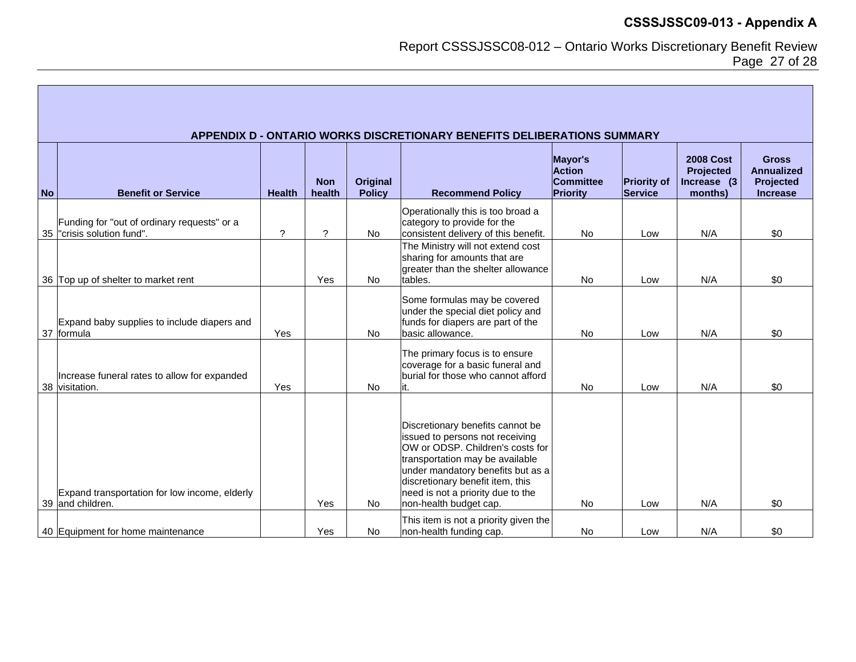Report CSSSJSSC08-012 – Ontario Works Discretionary Benefit Review Page 27 of 28

|           | APPENDIX D - ONTARIO WORKS DISCRETIONARY BENEFITS DELIBERATIONS SUMMARY    |                       |                      |                                  |                                                                                                                                                                                                                                                                                    |                                                          |                                      |                                                                |                                                                   |  |
|-----------|----------------------------------------------------------------------------|-----------------------|----------------------|----------------------------------|------------------------------------------------------------------------------------------------------------------------------------------------------------------------------------------------------------------------------------------------------------------------------------|----------------------------------------------------------|--------------------------------------|----------------------------------------------------------------|-------------------------------------------------------------------|--|
| <b>No</b> | <b>Benefit or Service</b>                                                  | <b>Health</b>         | <b>Non</b><br>health | <b>Original</b><br><b>Policy</b> | <b>Recommend Policy</b>                                                                                                                                                                                                                                                            | Mayor's<br><b>Action</b><br><b>Committee</b><br>Priority | <b>Priority of</b><br><b>Service</b> | <b>2008 Cost</b><br><b>Projected</b><br>Increase (3<br>months) | <b>Gross</b><br><b>Annualized</b><br>Projected<br><b>Increase</b> |  |
|           | Funding for "out of ordinary requests" or a<br>35  "crisis solution fund". | $\boldsymbol{\gamma}$ | $\mathcal{P}$        | No                               | Operationally this is too broad a<br>category to provide for the<br>consistent delivery of this benefit.                                                                                                                                                                           | <b>No</b>                                                | Low                                  | N/A                                                            | \$0                                                               |  |
|           | 36 Top up of shelter to market rent                                        |                       | Yes                  | No                               | The Ministry will not extend cost<br>sharing for amounts that are<br>greater than the shelter allowance<br>tables.                                                                                                                                                                 | <b>No</b>                                                | Low                                  | N/A                                                            | \$0                                                               |  |
|           | Expand baby supplies to include diapers and<br>37 formula                  | Yes                   |                      | <b>No</b>                        | Some formulas may be covered<br>under the special diet policy and<br>funds for diapers are part of the<br>basic allowance.                                                                                                                                                         | <b>No</b>                                                | Low                                  | N/A                                                            | \$0                                                               |  |
|           | Increase funeral rates to allow for expanded<br>38 visitation.             | Yes                   |                      | <b>No</b>                        | The primary focus is to ensure<br>coverage for a basic funeral and<br>burial for those who cannot afford                                                                                                                                                                           | <b>No</b>                                                | Low                                  | N/A                                                            | \$0                                                               |  |
|           | Expand transportation for low income, elderly<br>39 and children.          |                       | Yes                  | <b>No</b>                        | Discretionary benefits cannot be<br>issued to persons not receiving<br>OW or ODSP. Children's costs for<br>transportation may be available<br>under mandatory benefits but as a<br>discretionary benefit item, this<br>need is not a priority due to the<br>non-health budget cap. | <b>No</b>                                                | Low                                  | N/A                                                            | \$0                                                               |  |
|           | 40 Equipment for home maintenance                                          |                       | Yes                  | <b>No</b>                        | This item is not a priority given the<br>non-health funding cap.                                                                                                                                                                                                                   | <b>No</b>                                                | Low                                  | N/A                                                            | \$0                                                               |  |